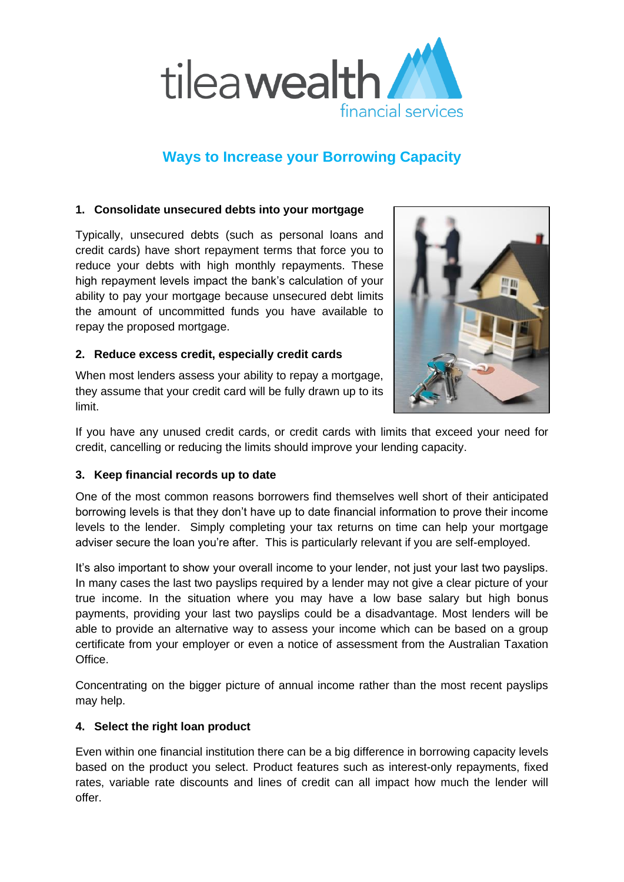

# **Ways to Increase your Borrowing Capacity**

## **1. Consolidate unsecured debts into your mortgage**

Typically, unsecured debts (such as personal loans and credit cards) have short repayment terms that force you to reduce your debts with high monthly repayments. These high repayment levels impact the bank's calculation of your ability to pay your mortgage because unsecured debt limits the amount of uncommitted funds you have available to repay the proposed mortgage.

## **2. Reduce excess credit, especially credit cards**

When most lenders assess your ability to repay a mortgage, they assume that your credit card will be fully drawn up to its limit.



If you have any unused credit cards, or credit cards with limits that exceed your need for credit, cancelling or reducing the limits should improve your lending capacity.

## **3. Keep financial records up to date**

One of the most common reasons borrowers find themselves well short of their anticipated borrowing levels is that they don't have up to date financial information to prove their income levels to the lender. Simply completing your tax returns on time can help your mortgage adviser secure the loan you're after. This is particularly relevant if you are self-employed.

It's also important to show your overall income to your lender, not just your last two payslips. In many cases the last two payslips required by a lender may not give a clear picture of your true income. In the situation where you may have a low base salary but high bonus payments, providing your last two payslips could be a disadvantage. Most lenders will be able to provide an alternative way to assess your income which can be based on a group certificate from your employer or even a notice of assessment from the Australian Taxation Office.

Concentrating on the bigger picture of annual income rather than the most recent payslips may help.

## **4. Select the right loan product**

Even within one financial institution there can be a big difference in borrowing capacity levels based on the product you select. Product features such as interest-only repayments, fixed rates, variable rate discounts and lines of credit can all impact how much the lender will offer.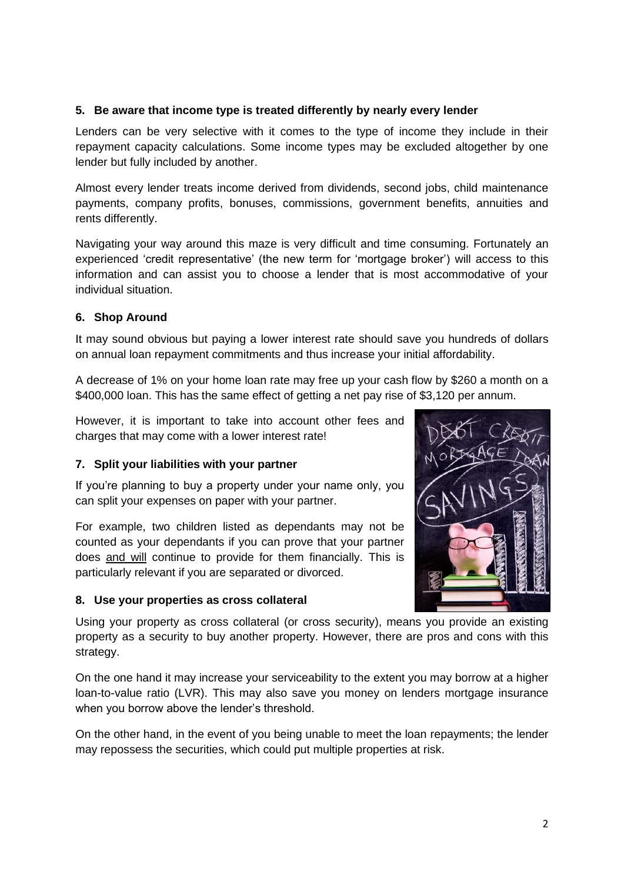### **5. Be aware that income type is treated differently by nearly every lender**

Lenders can be very selective with it comes to the type of income they include in their repayment capacity calculations. Some income types may be excluded altogether by one lender but fully included by another.

Almost every lender treats income derived from dividends, second jobs, child maintenance payments, company profits, bonuses, commissions, government benefits, annuities and rents differently.

Navigating your way around this maze is very difficult and time consuming. Fortunately an experienced 'credit representative' (the new term for 'mortgage broker') will access to this information and can assist you to choose a lender that is most accommodative of your individual situation.

### **6. Shop Around**

It may sound obvious but paying a lower interest rate should save you hundreds of dollars on annual loan repayment commitments and thus increase your initial affordability.

A decrease of 1% on your home loan rate may free up your cash flow by \$260 a month on a \$400,000 loan. This has the same effect of getting a net pay rise of \$3,120 per annum.

However, it is important to take into account other fees and charges that may come with a lower interest rate!

## **7. Split your liabilities with your partner**

If you're planning to buy a property under your name only, you can split your expenses on paper with your partner.

For example, two children listed as dependants may not be counted as your dependants if you can prove that your partner does and will continue to provide for them financially. This is particularly relevant if you are separated or divorced.

#### **8. Use your properties as cross collateral**



Using your property as cross collateral (or cross security), means you provide an existing property as a security to buy another property. However, there are pros and cons with this strategy.

On the one hand it may increase your serviceability to the extent you may borrow at a higher loan-to-value ratio (LVR). This may also save you money on lenders mortgage insurance when you borrow above the lender's threshold.

On the other hand, in the event of you being unable to meet the loan repayments; the lender may repossess the securities, which could put multiple properties at risk.